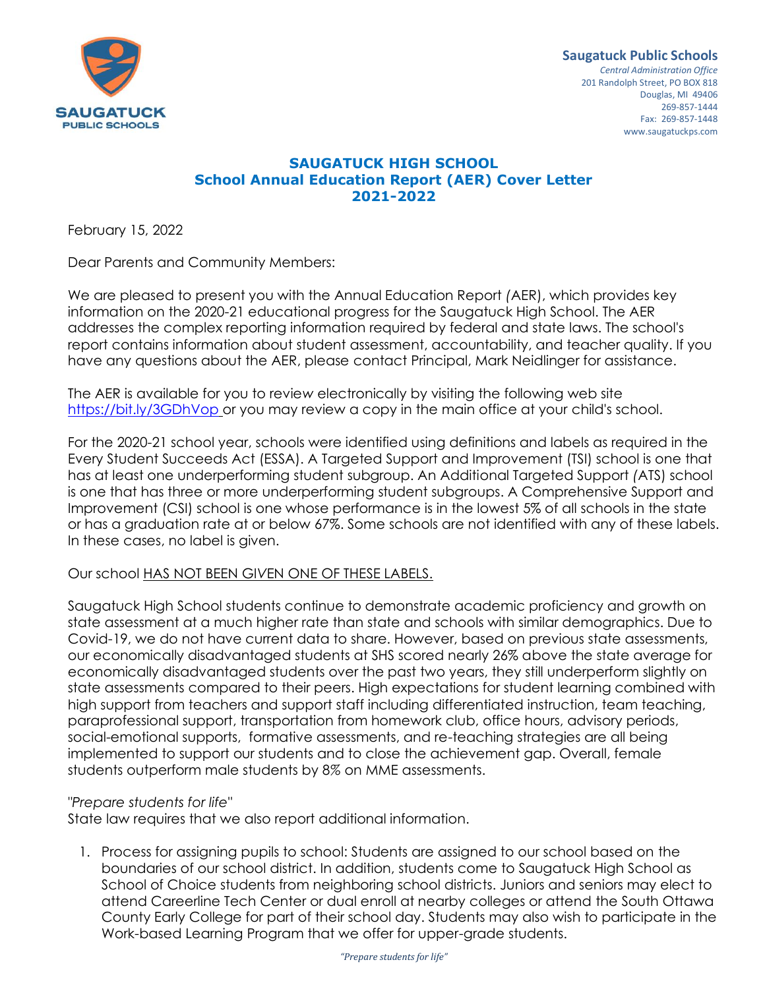

*Central Administration Office* 201 Randolph Street, PO BOX 818 Douglas, MI 49406 269-857-1444 Fax: 269-857-1448 www.saugatuckps.com

## **SAUGATUCK HIGH SCHOOL School Annual Education Report (AER) Cover Letter 2021-2022**

February 15, 2022

Dear Parents and Community Members:

We are pleased to present you with the Annual Education Report *(*AER), which provides key information on the 2020-21 educational progress for the Saugatuck High School. The AER addresses the complex reporting information required by federal and state laws. The school's report contains information about student assessment, accountability, and teacher quality. If you have any questions about the AER, please contact Principal, Mark Neidlinger for assistance.

The AER is available for you to revie*w* electronically by visiting the following web site <https://bit.ly/3GDhVop> or you may review a copy in the main office at your child's school.

For the 2020-21 school year, schools were identified using definitions and labels as required in the Every Student Succeeds Act (ESSA). A Targeted Support and Improvement (TSI) school is one that has at least one underperforming student subgroup. An Additional Targeted Support *(*ATS) school is one that has three or more underperforming student subgroups. A Comprehensive Support and Improvement (CSI) school is one whose performance is in the lowest 5% of all schools in the state or has a graduation rate at or below 67%. Some schools are not identified with any of these labels. In these cases, no label is given.

## Our school HAS NOT BEEN GI*V*EN ONE OF THESE LABELS.

Saugatuck High School students continue to demonstrate academic proficiency and growth on state assessment at a much higher rate than state and schools with similar demographics. Due to Covid-19, we do not have current data to share. However, based on previous state assessments, our economically disadvantaged students at SHS scored nearly 26% above the state average for economically disadvantaged students over the past two years, they still underperform slightly on state assessments compared to their peers. High expectations for student learning combined with high support from teachers and support staff including differentiated instruction, team teaching, paraprofessional support, transportation from homework club, office hours, advisory periods, social-emotional supports, formative assessments, and re-teaching strategies are all being implemented to support our students and to close the achievement gap. Overall, female students outperform male students by 8*%* on MME assessments.

## *"Prepare students for life"*

State law requires that we also report additional information.

1. Process for assigning pupils to school: Students are assigned to our school based on the boundaries of our school district. In addition, students come to Saugatuck High School as School of Choice students from neighboring school districts. Juniors and seniors may elect to attend Careerline Tech Center or dual enroll at nearby colleges or attend the South Ottawa County Early College for part of their school day. Students may also wish to participate in the Work-based Learning Program that we offer for upper-grade students.